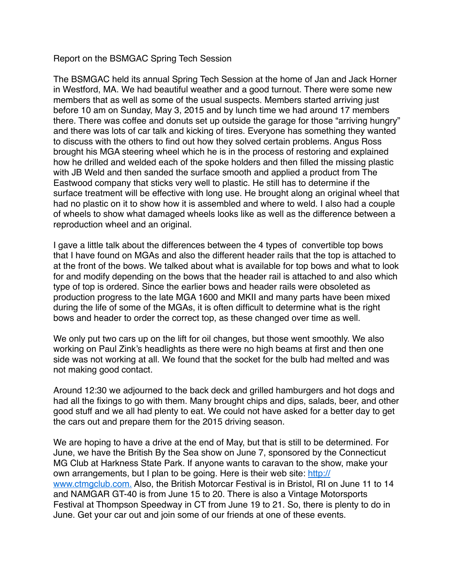Report on the BSMGAC Spring Tech Session

The BSMGAC held its annual Spring Tech Session at the home of Jan and Jack Horner in Westford, MA. We had beautiful weather and a good turnout. There were some new members that as well as some of the usual suspects. Members started arriving just before 10 am on Sunday, May 3, 2015 and by lunch time we had around 17 members there. There was coffee and donuts set up outside the garage for those "arriving hungry" and there was lots of car talk and kicking of tires. Everyone has something they wanted to discuss with the others to find out how they solved certain problems. Angus Ross brought his MGA steering wheel which he is in the process of restoring and explained how he drilled and welded each of the spoke holders and then filled the missing plastic with JB Weld and then sanded the surface smooth and applied a product from The Eastwood company that sticks very well to plastic. He still has to determine if the surface treatment will be effective with long use. He brought along an original wheel that had no plastic on it to show how it is assembled and where to weld. I also had a couple of wheels to show what damaged wheels looks like as well as the difference between a reproduction wheel and an original.

I gave a little talk about the differences between the 4 types of convertible top bows that I have found on MGAs and also the different header rails that the top is attached to at the front of the bows. We talked about what is available for top bows and what to look for and modify depending on the bows that the header rail is attached to and also which type of top is ordered. Since the earlier bows and header rails were obsoleted as production progress to the late MGA 1600 and MKII and many parts have been mixed during the life of some of the MGAs, it is often difficult to determine what is the right bows and header to order the correct top, as these changed over time as well.

We only put two cars up on the lift for oil changes, but those went smoothly. We also working on Paul Zink's headlights as there were no high beams at first and then one side was not working at all. We found that the socket for the bulb had melted and was not making good contact.

Around 12:30 we adjourned to the back deck and grilled hamburgers and hot dogs and had all the fixings to go with them. Many brought chips and dips, salads, beer, and other good stuff and we all had plenty to eat. We could not have asked for a better day to get the cars out and prepare them for the 2015 driving season.

We are hoping to have a drive at the end of May, but that is still to be determined. For June, we have the British By the Sea show on June 7, sponsored by the Connecticut MG Club at Harkness State Park. If anyone wants to caravan to the show, make your own arrangements, but I plan to be going. Here is their web site: [http://](http://www.ctmgclub.com./) [www.ctmgclub.com.](http://www.ctmgclub.com./) Also, the British Motorcar Festival is in Bristol, RI on June 11 to 14 and NAMGAR GT-40 is from June 15 to 20. There is also a Vintage Motorsports Festival at Thompson Speedway in CT from June 19 to 21. So, there is plenty to do in June. Get your car out and join some of our friends at one of these events.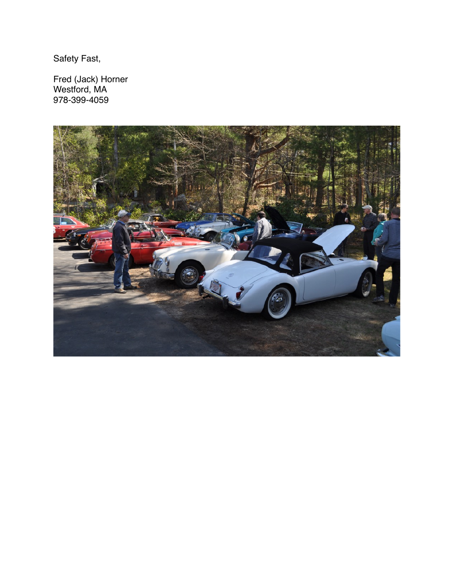Safety Fast,

Fred (Jack) Horner Westford, MA 978-399-4059